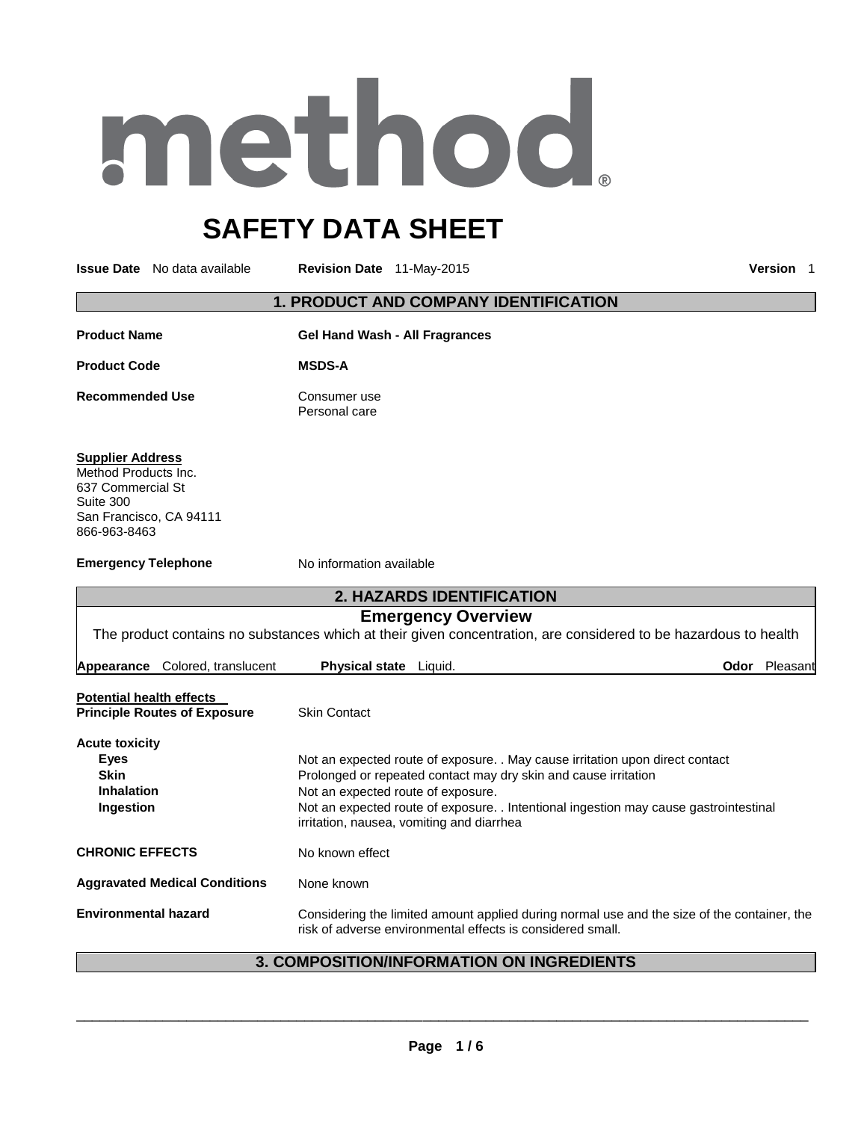# method

# **SAFETY DATA SHEET**

**Issue Date** No data available **Revision Date** 11-May-2015 **Version** 1

### **1. PRODUCT AND COMPANY IDENTIFICATION**

| <b>Product Name</b>                                                                                                          | <b>Gel Hand Wash - All Fragrances</b>                                                                                                                                                                                                                                                                                        |
|------------------------------------------------------------------------------------------------------------------------------|------------------------------------------------------------------------------------------------------------------------------------------------------------------------------------------------------------------------------------------------------------------------------------------------------------------------------|
| <b>Product Code</b>                                                                                                          | <b>MSDS-A</b>                                                                                                                                                                                                                                                                                                                |
| <b>Recommended Use</b>                                                                                                       | Consumer use<br>Personal care                                                                                                                                                                                                                                                                                                |
| <b>Supplier Address</b><br>Method Products Inc.<br>637 Commercial St<br>Suite 300<br>San Francisco, CA 94111<br>866-963-8463 |                                                                                                                                                                                                                                                                                                                              |
| <b>Emergency Telephone</b>                                                                                                   | No information available                                                                                                                                                                                                                                                                                                     |
|                                                                                                                              | 2. HAZARDS IDENTIFICATION                                                                                                                                                                                                                                                                                                    |
|                                                                                                                              | <b>Emergency Overview</b><br>The product contains no substances which at their given concentration, are considered to be hazardous to health                                                                                                                                                                                 |
| Appearance Colored, translucent                                                                                              | Odor Pleasant<br>Physical state Liquid.                                                                                                                                                                                                                                                                                      |
| <b>Potential health effects</b><br><b>Principle Routes of Exposure</b>                                                       | <b>Skin Contact</b>                                                                                                                                                                                                                                                                                                          |
| <b>Acute toxicity</b><br><b>Eyes</b><br><b>Skin</b><br><b>Inhalation</b><br>Ingestion                                        | Not an expected route of exposure. . May cause irritation upon direct contact<br>Prolonged or repeated contact may dry skin and cause irritation<br>Not an expected route of exposure.<br>Not an expected route of exposure. . Intentional ingestion may cause gastrointestinal<br>irritation, nausea, vomiting and diarrhea |
| <b>CHRONIC EFFECTS</b>                                                                                                       | No known effect                                                                                                                                                                                                                                                                                                              |
| <b>Aggravated Medical Conditions</b>                                                                                         | None known                                                                                                                                                                                                                                                                                                                   |
| <b>Environmental hazard</b>                                                                                                  | Considering the limited amount applied during normal use and the size of the container, the<br>risk of adverse environmental effects is considered small.                                                                                                                                                                    |

### **3. COMPOSITION/INFORMATION ON INGREDIENTS**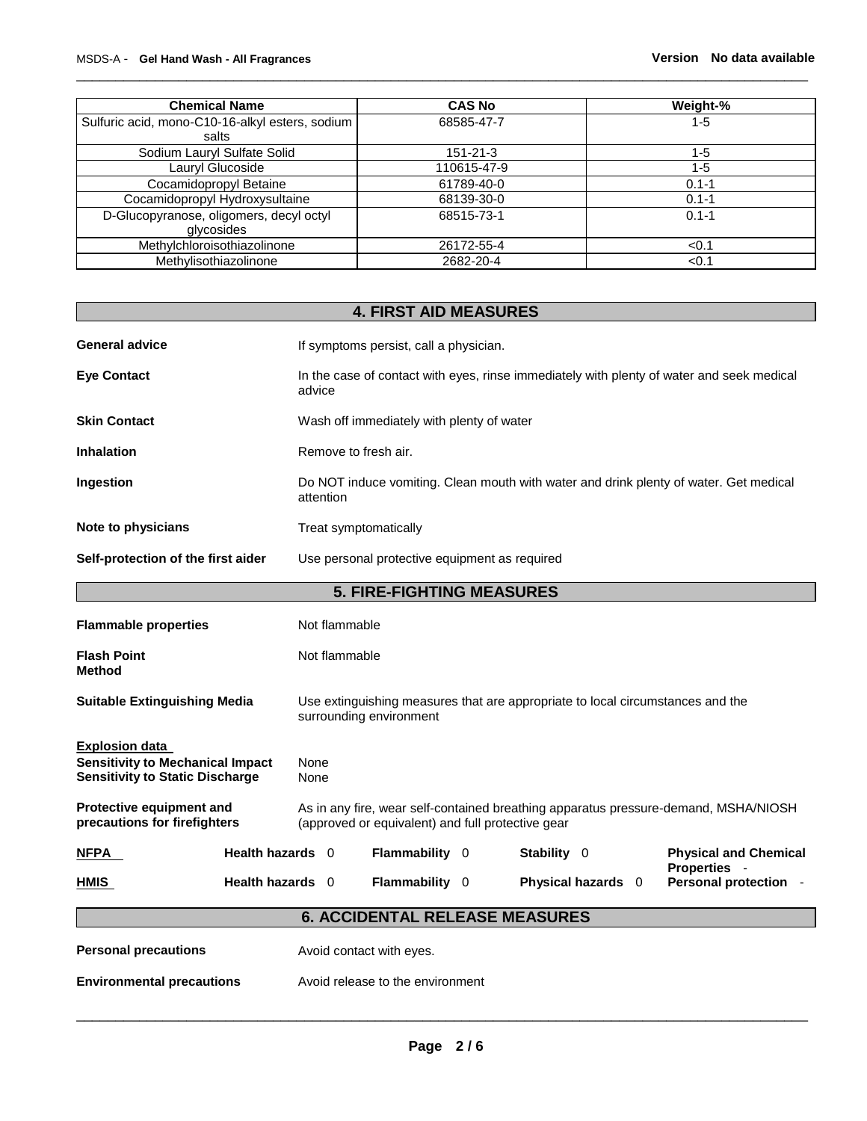| <b>Chemical Name</b>                                     | <b>CAS No</b> | Weight-%  |
|----------------------------------------------------------|---------------|-----------|
| Sulfuric acid, mono-C10-16-alkyl esters, sodium<br>salts | 68585-47-7    | 1-5       |
| Sodium Lauryl Sulfate Solid                              | 151-21-3      | $1 - 5$   |
| Lauryl Glucoside                                         | 110615-47-9   | 1-5       |
| Cocamidopropyl Betaine                                   | 61789-40-0    | $0.1 - 1$ |
| Cocamidopropyl Hydroxysultaine                           | 68139-30-0    | $0.1 - 1$ |
| D-Glucopyranose, oligomers, decyl octyl<br>glycosides    | 68515-73-1    | $0.1 - 1$ |
| Methylchloroisothiazolinone                              | 26172-55-4    | < 0.1     |
| Methylisothiazolinone                                    | 2682-20-4     | < 0.1     |

\_\_\_\_\_\_\_\_\_\_\_\_\_\_\_\_\_\_\_\_\_\_\_\_\_\_\_\_\_\_\_\_\_\_\_\_\_\_\_\_\_\_\_\_\_\_\_\_\_\_\_\_\_\_\_\_\_\_\_\_\_\_\_\_\_\_\_\_\_\_\_\_\_\_\_\_\_\_\_\_\_\_\_\_\_\_\_\_\_\_\_\_\_

# **4. FIRST AID MEASURES**  General advice **If** symptoms persist, call a physician. **Eye Contact** In the case of contact with eyes, rinse immediately with plenty of water and seek medical advice **Skin Contact Wash off immediately with plenty of water Inhalation Remove to fresh air. Ingestion Do NOT** induce vomiting. Clean mouth with water and drink plenty of water. Get medical attention **Note to physicians Treat symptomatically Self-protection of the first aider** Use personal protective equipment as required **5. FIRE-FIGHTING MEASURES Flammable properties** Not flammable **Flash Point Not flammable Method Suitable Extinguishing Media** Use extinguishing measures that are appropriate to local circumstances and the surrounding environment **Explosion data Sensitivity to Mechanical Impact** None **Sensitivity to Static Discharge Mone Protective equipment and precautions for firefighters**  As in any fire, wear self-contained breathing apparatus pressure-demand, MSHA/NIOSH (approved or equivalent) and full protective gear **NFPA Health hazards** 0 **Flammability** 0 **Stability** 0 **Physical and Chemical Properties** - **HMIS Health hazards** 0 **Flammability** 0 **Physical hazards** 0 **Personal protection** - **6. ACCIDENTAL RELEASE MEASURES Personal precautions Avoid contact with eyes. Environmental precautions** Avoid release to the environment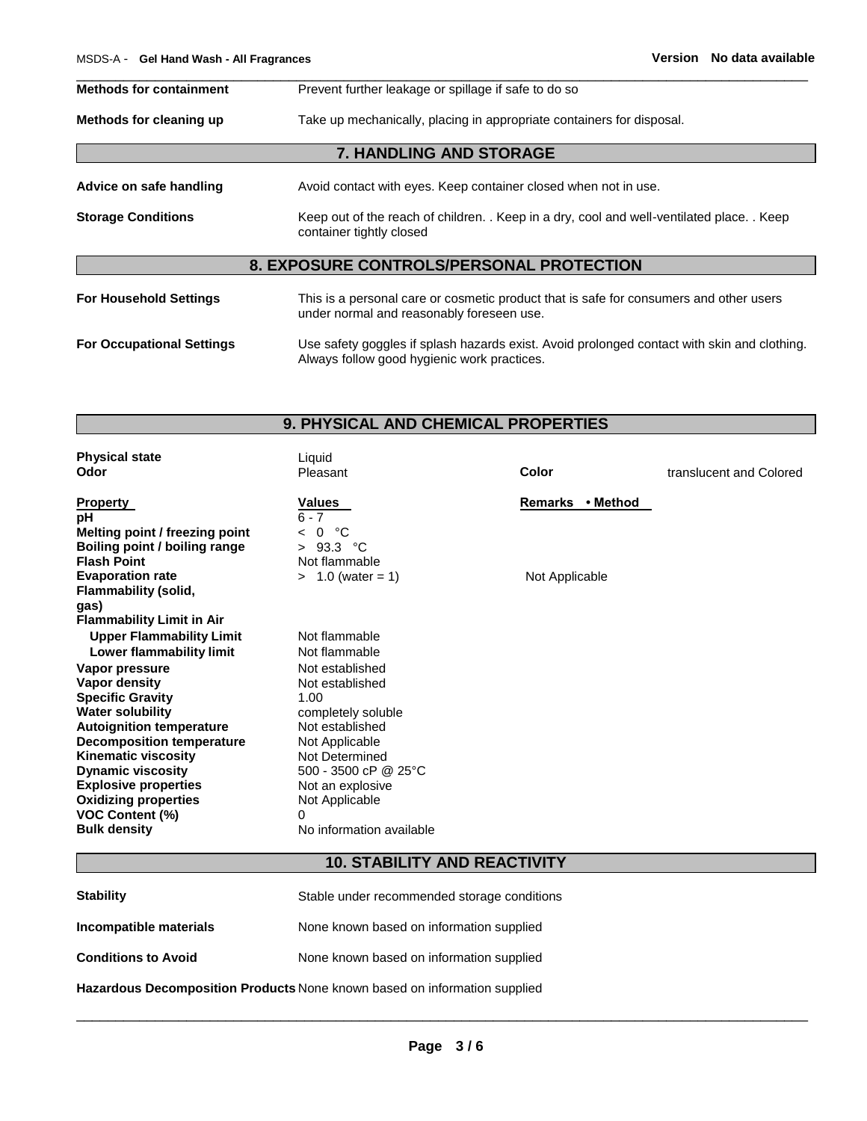| <b>Methods for containment</b><br>Prevent further leakage or spillage if safe to do so |                                                                                                                                            |  |  |  |  |  |
|----------------------------------------------------------------------------------------|--------------------------------------------------------------------------------------------------------------------------------------------|--|--|--|--|--|
| Methods for cleaning up                                                                | Take up mechanically, placing in appropriate containers for disposal.                                                                      |  |  |  |  |  |
|                                                                                        | <b>7. HANDLING AND STORAGE</b>                                                                                                             |  |  |  |  |  |
| Advice on safe handling                                                                | Avoid contact with eyes. Keep container closed when not in use.                                                                            |  |  |  |  |  |
| <b>Storage Conditions</b>                                                              | Keep out of the reach of children. . Keep in a dry, cool and well-ventilated place. . Keep<br>container tightly closed                     |  |  |  |  |  |
|                                                                                        | <b>8. EXPOSURE CONTROLS/PERSONAL PROTECTION</b>                                                                                            |  |  |  |  |  |
| <b>For Household Settings</b>                                                          | This is a personal care or cosmetic product that is safe for consumers and other users<br>under normal and reasonably foreseen use.        |  |  |  |  |  |
| <b>For Occupational Settings</b>                                                       | Use safety goggles if splash hazards exist. Avoid prolonged contact with skin and clothing.<br>Always follow good hygienic work practices. |  |  |  |  |  |

### **9. PHYSICAL AND CHEMICAL PROPERTIES**

| <b>Physical state</b><br>Odor        | Liquid<br>Pleasant              | Color            | translucent and Colored |
|--------------------------------------|---------------------------------|------------------|-------------------------|
| <b>Property</b>                      | Values                          | Remarks • Method |                         |
| pH                                   | $6 - 7$                         |                  |                         |
| Melting point / freezing point       | °C<br>$\Omega$                  |                  |                         |
| <b>Boiling point / boiling range</b> | 93.3<br>℃<br>$\geq$             |                  |                         |
| <b>Flash Point</b>                   | Not flammable                   |                  |                         |
| <b>Evaporation rate</b>              | $> 1.0$ (water = 1)             | Not Applicable   |                         |
| <b>Flammability (solid,</b><br>gas)  |                                 |                  |                         |
| <b>Flammability Limit in Air</b>     |                                 |                  |                         |
| <b>Upper Flammability Limit</b>      | Not flammable                   |                  |                         |
| Lower flammability limit             | Not flammable                   |                  |                         |
| Vapor pressure                       | Not established                 |                  |                         |
| Vapor density                        | Not established                 |                  |                         |
| <b>Specific Gravity</b>              | 1.00                            |                  |                         |
| <b>Water solubility</b>              | completely soluble              |                  |                         |
| <b>Autoignition temperature</b>      | Not established                 |                  |                         |
| <b>Decomposition temperature</b>     | Not Applicable                  |                  |                         |
| <b>Kinematic viscosity</b>           | Not Determined                  |                  |                         |
| <b>Dynamic viscosity</b>             | 500 - 3500 cP @ 25 $^{\circ}$ C |                  |                         |
| <b>Explosive properties</b>          | Not an explosive                |                  |                         |
| <b>Oxidizing properties</b>          | Not Applicable                  |                  |                         |
| VOC Content (%)                      | $\Omega$                        |                  |                         |
| <b>Bulk density</b>                  | No information available        |                  |                         |

## **10. STABILITY AND REACTIVITY**

| <b>Stability</b>           | Stable under recommended storage conditions |
|----------------------------|---------------------------------------------|
| Incompatible materials     | None known based on information supplied    |
| <b>Conditions to Avoid</b> | None known based on information supplied    |

**Hazardous Decomposition Products** None known based on information supplied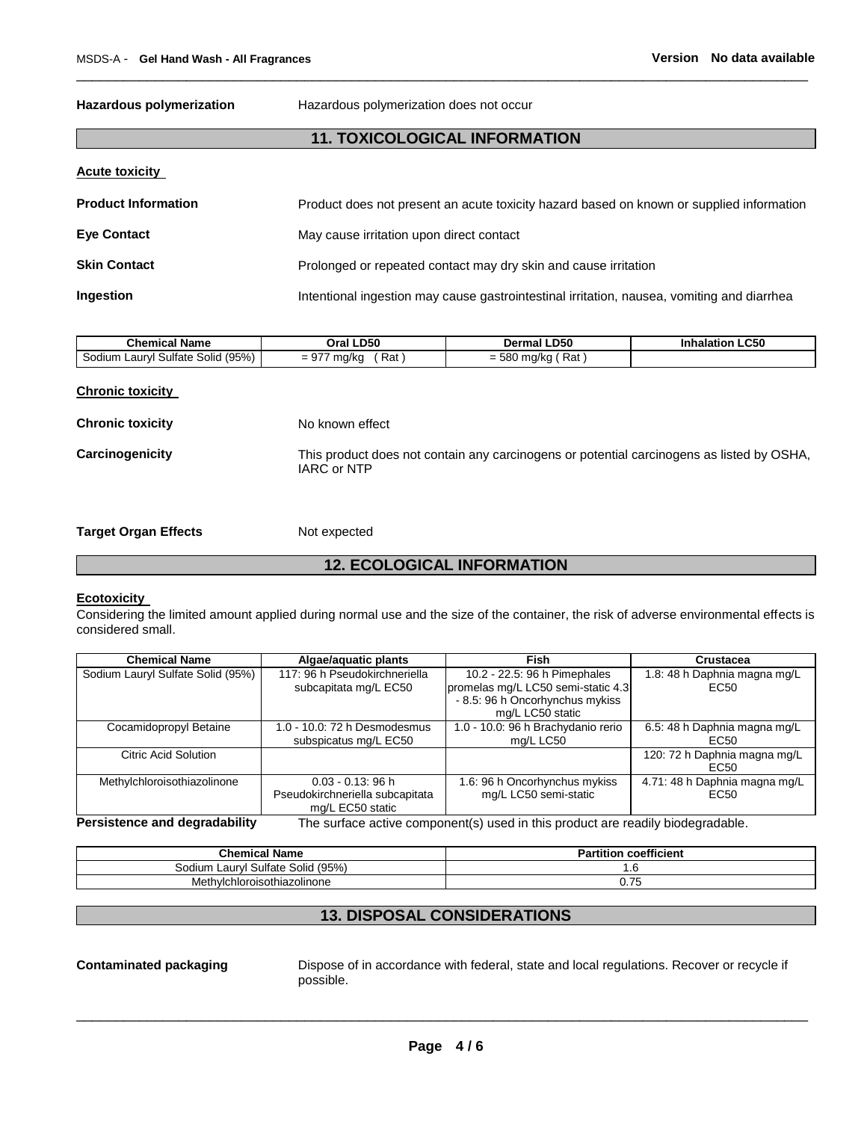**Hazardous polymerization** Hazardous polymerization does not occur

### **11. TOXICOLOGICAL INFORMATION**

\_\_\_\_\_\_\_\_\_\_\_\_\_\_\_\_\_\_\_\_\_\_\_\_\_\_\_\_\_\_\_\_\_\_\_\_\_\_\_\_\_\_\_\_\_\_\_\_\_\_\_\_\_\_\_\_\_\_\_\_\_\_\_\_\_\_\_\_\_\_\_\_\_\_\_\_\_\_\_\_\_\_\_\_\_\_\_\_\_\_\_\_\_

### **Acute toxicity**

| <b>Product Information</b> | Product does not present an acute toxicity hazard based on known or supplied information   |
|----------------------------|--------------------------------------------------------------------------------------------|
| Eye Contact                | May cause irritation upon direct contact                                                   |
| <b>Skin Contact</b>        | Prolonged or repeated contact may dry skin and cause irritation                            |
| Ingestion                  | Intentional ingestion may cause gastrointestinal irritation, nausea, vomiting and diarrhea |

| ---<br>⊺Name<br>nı                           | .D50<br>л.                                    | <b>D50</b><br>De!<br>ша             | C50 |
|----------------------------------------------|-----------------------------------------------|-------------------------------------|-----|
| (95%<br>Solid<br>Sultate<br>_aurv'<br>50dium | Rat<br>$\sim$ $-$<br>$50-1$<br>אי "<br>$\sim$ | $\sim$<br>Rat<br>-<br>$\sim$ $\sim$ |     |

| <b>Chronic toxicity</b> |  |
|-------------------------|--|
|                         |  |

**Chronic toxicity No known effect** 

**Carcinogenicity** This product does not contain any carcinogens or potential carcinogens as listed by OSHA, IARC or NTP

**Target Organ Effects** Not expected

### **12. ECOLOGICAL INFORMATION**

### **Ecotoxicity**

Considering the limited amount applied during normal use and the size of the container, the risk of adverse environmental effects is considered small.

| <b>Chemical Name</b>              | Algae/aquatic plants                                                            | <b>Fish</b>                        | Crustacea                     |  |  |  |
|-----------------------------------|---------------------------------------------------------------------------------|------------------------------------|-------------------------------|--|--|--|
| Sodium Lauryl Sulfate Solid (95%) | 117: 96 h Pseudokirchneriella                                                   | 10.2 - 22.5: 96 h Pimephales       | 1.8: 48 h Daphnia magna mg/L  |  |  |  |
|                                   | subcapitata mg/L EC50                                                           | promelas mg/L LC50 semi-static 4.3 | EC <sub>50</sub>              |  |  |  |
|                                   |                                                                                 | - 8.5: 96 h Oncorhynchus mykiss    |                               |  |  |  |
|                                   |                                                                                 | mg/L LC50 static                   |                               |  |  |  |
| Cocamidopropyl Betaine            | 1.0 - 10.0: 72 h Desmodesmus                                                    | 1.0 - 10.0: 96 h Brachydanio rerio | 6.5: 48 h Daphnia magna mg/L  |  |  |  |
|                                   | subspicatus mg/L EC50                                                           | mg/L LC50                          | EC50                          |  |  |  |
| Citric Acid Solution              |                                                                                 |                                    | 120: 72 h Daphnia magna mg/L  |  |  |  |
|                                   |                                                                                 |                                    | EC50                          |  |  |  |
| Methylchloroisothiazolinone       | $0.03 - 0.13$ : 96 h                                                            | 1.6: 96 h Oncorhynchus mykiss      | 4.71: 48 h Daphnia magna mg/L |  |  |  |
|                                   | Pseudokirchneriella subcapitata                                                 | mg/L LC50 semi-static              | EC <sub>50</sub>              |  |  |  |
|                                   | mg/L EC50 static                                                                |                                    |                               |  |  |  |
| Persistence and degradability     | The surface active component(s) used in this product are readily biodegradable. |                                    |                               |  |  |  |

| <b>Chemical Name</b>                                          | coefficient<br>п.<br>tition<br>- 81 |
|---------------------------------------------------------------|-------------------------------------|
| (95%<br>Solid<br>' Sulfate 、<br>∟aurvi <sup>∙</sup><br>Sodium | . ب                                 |
| Methylchloroisothiazolinone                                   | v. 1 J                              |

### **13. DISPOSAL CONSIDERATIONS**

**Contaminated packaging** Dispose of in accordance with federal, state and local regulations. Recover or recycle if possible.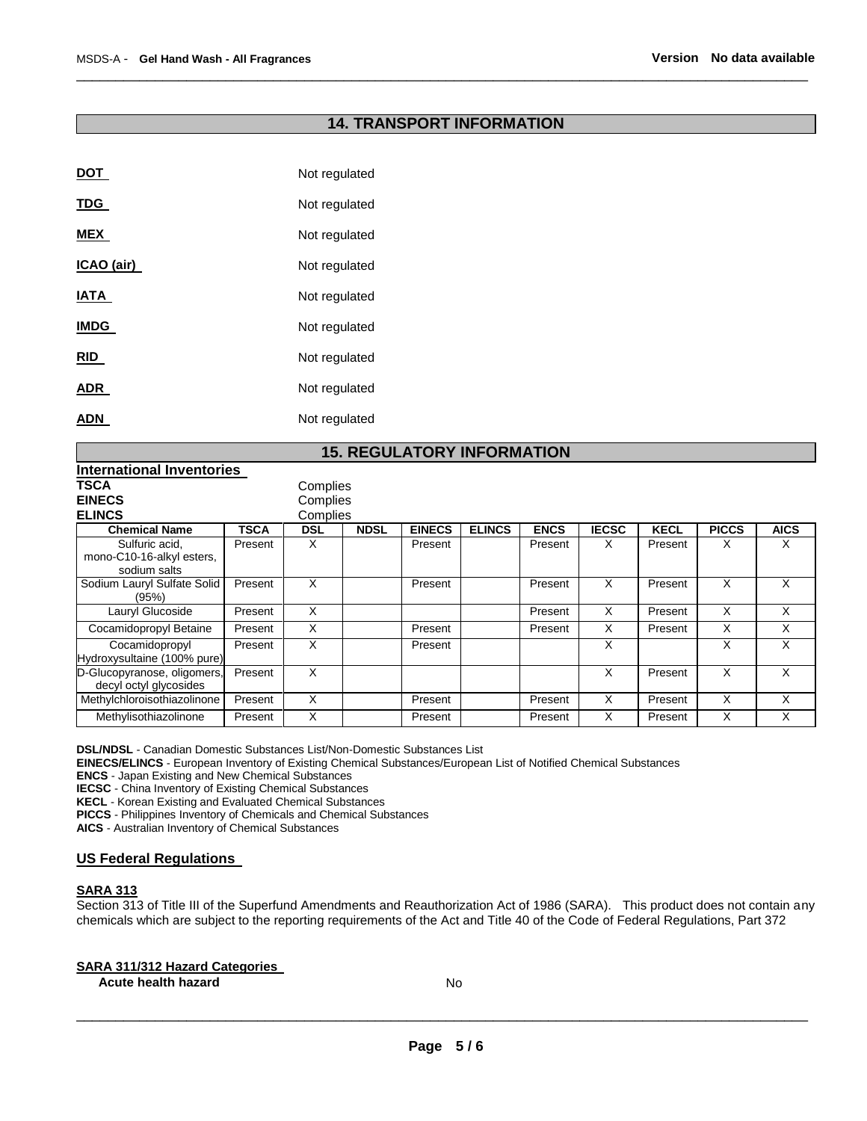### **14. TRANSPORT INFORMATION**

\_\_\_\_\_\_\_\_\_\_\_\_\_\_\_\_\_\_\_\_\_\_\_\_\_\_\_\_\_\_\_\_\_\_\_\_\_\_\_\_\_\_\_\_\_\_\_\_\_\_\_\_\_\_\_\_\_\_\_\_\_\_\_\_\_\_\_\_\_\_\_\_\_\_\_\_\_\_\_\_\_\_\_\_\_\_\_\_\_\_\_\_\_

| DOT         | Not regulated |
|-------------|---------------|
| <b>TDG</b>  | Not regulated |
| <b>MEX</b>  | Not regulated |
| ICAO (air)  | Not regulated |
| IATA        | Not regulated |
| <b>IMDG</b> | Not regulated |
| <b>RID</b>  | Not regulated |
| ADR         | Not regulated |
| ADN         | Not regulated |
|             |               |

### **15. REGULATORY INFORMATION**

| International Inventories                                   |         |          |             |               |               |             |              |             |              |             |
|-------------------------------------------------------------|---------|----------|-------------|---------------|---------------|-------------|--------------|-------------|--------------|-------------|
| <b>TSCA</b>                                                 |         | Complies |             |               |               |             |              |             |              |             |
| <b>EINECS</b>                                               |         | Complies |             |               |               |             |              |             |              |             |
| <b>ELINCS</b>                                               |         | Complies |             |               |               |             |              |             |              |             |
| <b>Chemical Name</b>                                        | TSCA    | DSL      | <b>NDSL</b> | <b>EINECS</b> | <b>ELINCS</b> | <b>ENCS</b> | <b>IECSC</b> | <b>KECL</b> | <b>PICCS</b> | <b>AICS</b> |
| Sulfuric acid,<br>mono-C10-16-alkyl esters,<br>sodium salts | Present | х        |             | Present       |               | Present     | X            | Present     | х            | X           |
| Sodium Lauryl Sulfate Solid<br>(95%)                        | Present | X        |             | Present       |               | Present     | X            | Present     | X            | X           |
| Lauryl Glucoside                                            | Present | X        |             |               |               | Present     | X            | Present     | X            | X           |
| Cocamidopropyl Betaine                                      | Present | X        |             | Present       |               | Present     | X            | Present     | X            | X           |
| Cocamidopropyl<br>Hydroxysultaine (100% pure)               | Present | X        |             | Present       |               |             | X            |             | X            | X           |
| D-Glucopyranose, oligomers,<br>decyl octyl glycosides       | Present | X        |             |               |               |             | X            | Present     | X            | X           |
| Methylchloroisothiazolinone                                 | Present | X        |             | Present       |               | Present     | X            | Present     | X            | X           |
| Methylisothiazolinone                                       | Present | X        |             | Present       |               | Present     | X            | Present     | X            | X           |

**DSL/NDSL** - Canadian Domestic Substances List/Non-Domestic Substances List

**EINECS/ELINCS** - European Inventory of Existing Chemical Substances/European List of Notified Chemical Substances

**ENCS** - Japan Existing and New Chemical Substances

**IECSC** - China Inventory of Existing Chemical Substances

**KECL** - Korean Existing and Evaluated Chemical Substances

**PICCS** - Philippines Inventory of Chemicals and Chemical Substances

**AICS** - Australian Inventory of Chemical Substances

### **US Federal Regulations**

### **SARA 313**

Section 313 of Title III of the Superfund Amendments and Reauthorization Act of 1986 (SARA). This product does not contain any chemicals which are subject to the reporting requirements of the Act and Title 40 of the Code of Federal Regulations, Part 372

### **SARA 311/312 Hazard Categories**

**Acute health hazard No. Acute health hazard No. Acute health hazard No. Acute 1999**